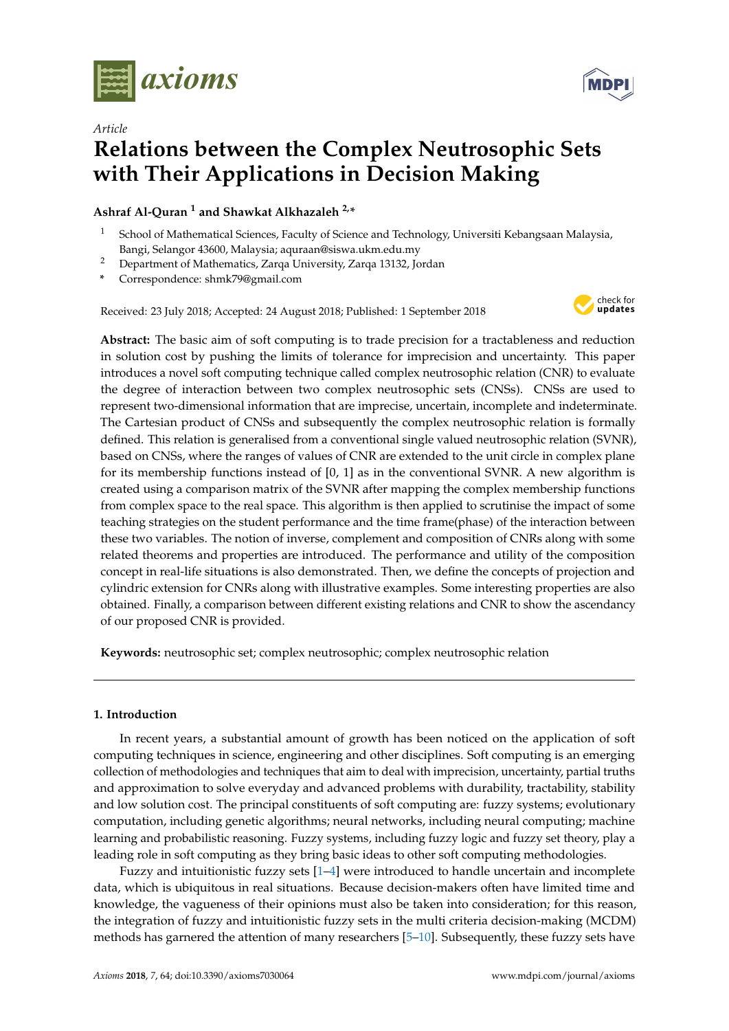

*Article*



# **Relations between the Complex Neutrosophic Sets with Their Applications in Decision Making**

**Ashraf Al-Quran <sup>1</sup> and Shawkat Alkhazaleh 2,\***

- School of Mathematical Sciences, Faculty of Science and Technology, Universiti Kebangsaan Malaysia, Bangi, Selangor 43600, Malaysia; aquraan@siswa.ukm.edu.my
- <sup>2</sup> Department of Mathematics, Zarqa University, Zarqa 13132, Jordan
- **\*** Correspondence: shmk79@gmail.com

Received: 23 July 2018; Accepted: 24 August 2018; Published: 1 September 2018



**Abstract:** The basic aim of soft computing is to trade precision for a tractableness and reduction in solution cost by pushing the limits of tolerance for imprecision and uncertainty. This paper introduces a novel soft computing technique called complex neutrosophic relation (CNR) to evaluate the degree of interaction between two complex neutrosophic sets (CNSs). CNSs are used to represent two-dimensional information that are imprecise, uncertain, incomplete and indeterminate. The Cartesian product of CNSs and subsequently the complex neutrosophic relation is formally defined. This relation is generalised from a conventional single valued neutrosophic relation (SVNR), based on CNSs, where the ranges of values of CNR are extended to the unit circle in complex plane for its membership functions instead of [0, 1] as in the conventional SVNR. A new algorithm is created using a comparison matrix of the SVNR after mapping the complex membership functions from complex space to the real space. This algorithm is then applied to scrutinise the impact of some teaching strategies on the student performance and the time frame(phase) of the interaction between these two variables. The notion of inverse, complement and composition of CNRs along with some related theorems and properties are introduced. The performance and utility of the composition concept in real-life situations is also demonstrated. Then, we define the concepts of projection and cylindric extension for CNRs along with illustrative examples. Some interesting properties are also obtained. Finally, a comparison between different existing relations and CNR to show the ascendancy of our proposed CNR is provided.

**Keywords:** neutrosophic set; complex neutrosophic; complex neutrosophic relation

# **1. Introduction**

In recent years, a substantial amount of growth has been noticed on the application of soft computing techniques in science, engineering and other disciplines. Soft computing is an emerging collection of methodologies and techniques that aim to deal with imprecision, uncertainty, partial truths and approximation to solve everyday and advanced problems with durability, tractability, stability and low solution cost. The principal constituents of soft computing are: fuzzy systems; evolutionary computation, including genetic algorithms; neural networks, including neural computing; machine learning and probabilistic reasoning. Fuzzy systems, including fuzzy logic and fuzzy set theory, play a leading role in soft computing as they bring basic ideas to other soft computing methodologies.

Fuzzy and intuitionistic fuzzy sets [\[1](#page-13-0)[–4\]](#page-13-1) were introduced to handle uncertain and incomplete data, which is ubiquitous in real situations. Because decision-makers often have limited time and knowledge, the vagueness of their opinions must also be taken into consideration; for this reason, the integration of fuzzy and intuitionistic fuzzy sets in the multi criteria decision-making (MCDM) methods has garnered the attention of many researchers [\[5–](#page-13-2)[10\]](#page-13-3). Subsequently, these fuzzy sets have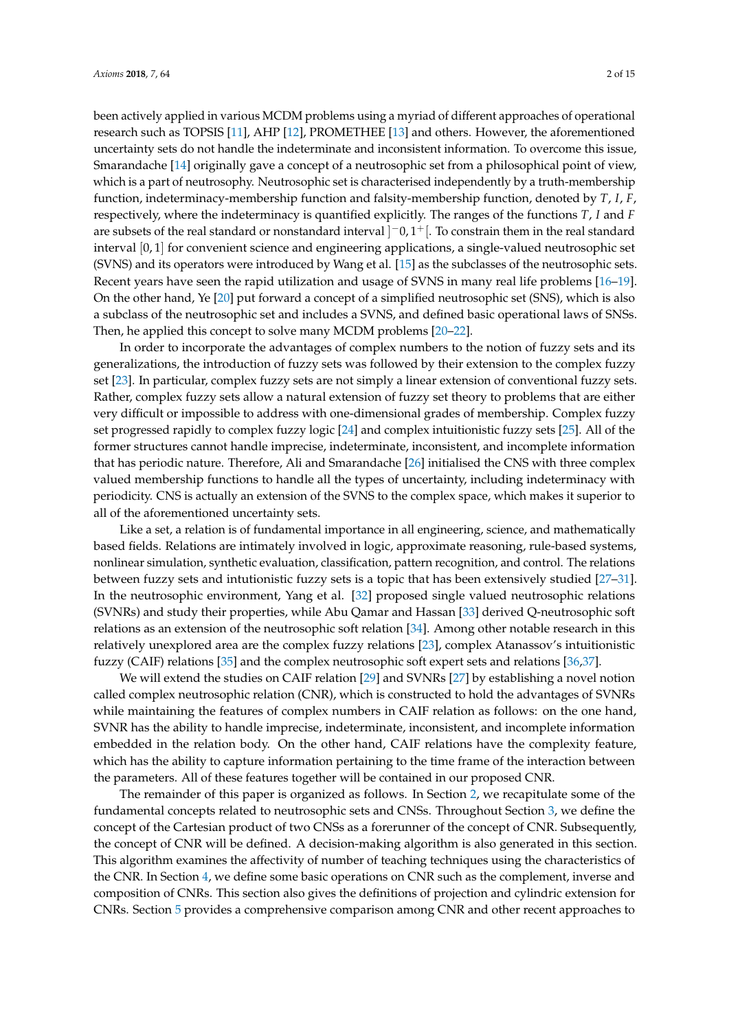been actively applied in various MCDM problems using a myriad of different approaches of operational research such as TOPSIS [\[11\]](#page-13-4), AHP [\[12\]](#page-13-5), PROMETHEE [\[13\]](#page-13-6) and others. However, the aforementioned uncertainty sets do not handle the indeterminate and inconsistent information. To overcome this issue, Smarandache [\[14\]](#page-13-7) originally gave a concept of a neutrosophic set from a philosophical point of view, which is a part of neutrosophy. Neutrosophic set is characterised independently by a truth-membership function, indeterminacy-membership function and falsity-membership function, denoted by *T*, *I*, *F*, respectively, where the indeterminacy is quantified explicitly. The ranges of the functions *T*, *I* and *F* are subsets of the real standard or nonstandard interval  $]$  – 0, 1 + [. To constrain them in the real standard interval [0, 1] for convenient science and engineering applications, a single-valued neutrosophic set (SVNS) and its operators were introduced by Wang et al. [\[15\]](#page-13-8) as the subclasses of the neutrosophic sets. Recent years have seen the rapid utilization and usage of SVNS in many real life problems [\[16–](#page-13-9)[19\]](#page-13-10). On the other hand, Ye [\[20\]](#page-13-11) put forward a concept of a simplified neutrosophic set (SNS), which is also a subclass of the neutrosophic set and includes a SVNS, and defined basic operational laws of SNSs. Then, he applied this concept to solve many MCDM problems [\[20–](#page-13-11)[22\]](#page-13-12).

In order to incorporate the advantages of complex numbers to the notion of fuzzy sets and its generalizations, the introduction of fuzzy sets was followed by their extension to the complex fuzzy set [\[23\]](#page-13-13). In particular, complex fuzzy sets are not simply a linear extension of conventional fuzzy sets. Rather, complex fuzzy sets allow a natural extension of fuzzy set theory to problems that are either very difficult or impossible to address with one-dimensional grades of membership. Complex fuzzy set progressed rapidly to complex fuzzy logic [\[24\]](#page-14-0) and complex intuitionistic fuzzy sets [\[25\]](#page-14-1). All of the former structures cannot handle imprecise, indeterminate, inconsistent, and incomplete information that has periodic nature. Therefore, Ali and Smarandache [\[26\]](#page-14-2) initialised the CNS with three complex valued membership functions to handle all the types of uncertainty, including indeterminacy with periodicity. CNS is actually an extension of the SVNS to the complex space, which makes it superior to all of the aforementioned uncertainty sets.

Like a set, a relation is of fundamental importance in all engineering, science, and mathematically based fields. Relations are intimately involved in logic, approximate reasoning, rule-based systems, nonlinear simulation, synthetic evaluation, classification, pattern recognition, and control. The relations between fuzzy sets and intutionistic fuzzy sets is a topic that has been extensively studied [\[27–](#page-14-3)[31\]](#page-14-4). In the neutrosophic environment, Yang et al. [\[32\]](#page-14-5) proposed single valued neutrosophic relations (SVNRs) and study their properties, while Abu Qamar and Hassan [\[33\]](#page-14-6) derived Q-neutrosophic soft relations as an extension of the neutrosophic soft relation [\[34\]](#page-14-7). Among other notable research in this relatively unexplored area are the complex fuzzy relations [\[23\]](#page-13-13), complex Atanassov's intuitionistic fuzzy (CAIF) relations [\[35\]](#page-14-8) and the complex neutrosophic soft expert sets and relations [\[36](#page-14-9)[,37\]](#page-14-10).

We will extend the studies on CAIF relation [\[29\]](#page-14-11) and SVNRs [\[27\]](#page-14-3) by establishing a novel notion called complex neutrosophic relation (CNR), which is constructed to hold the advantages of SVNRs while maintaining the features of complex numbers in CAIF relation as follows: on the one hand, SVNR has the ability to handle imprecise, indeterminate, inconsistent, and incomplete information embedded in the relation body. On the other hand, CAIF relations have the complexity feature, which has the ability to capture information pertaining to the time frame of the interaction between the parameters. All of these features together will be contained in our proposed CNR.

The remainder of this paper is organized as follows. In Section [2,](#page-2-0) we recapitulate some of the fundamental concepts related to neutrosophic sets and CNSs. Throughout Section [3,](#page-3-0) we define the concept of the Cartesian product of two CNSs as a forerunner of the concept of CNR. Subsequently, the concept of CNR will be defined. A decision-making algorithm is also generated in this section. This algorithm examines the affectivity of number of teaching techniques using the characteristics of the CNR. In Section [4,](#page-6-0) we define some basic operations on CNR such as the complement, inverse and composition of CNRs. This section also gives the definitions of projection and cylindric extension for CNRs. Section [5](#page-11-0) provides a comprehensive comparison among CNR and other recent approaches to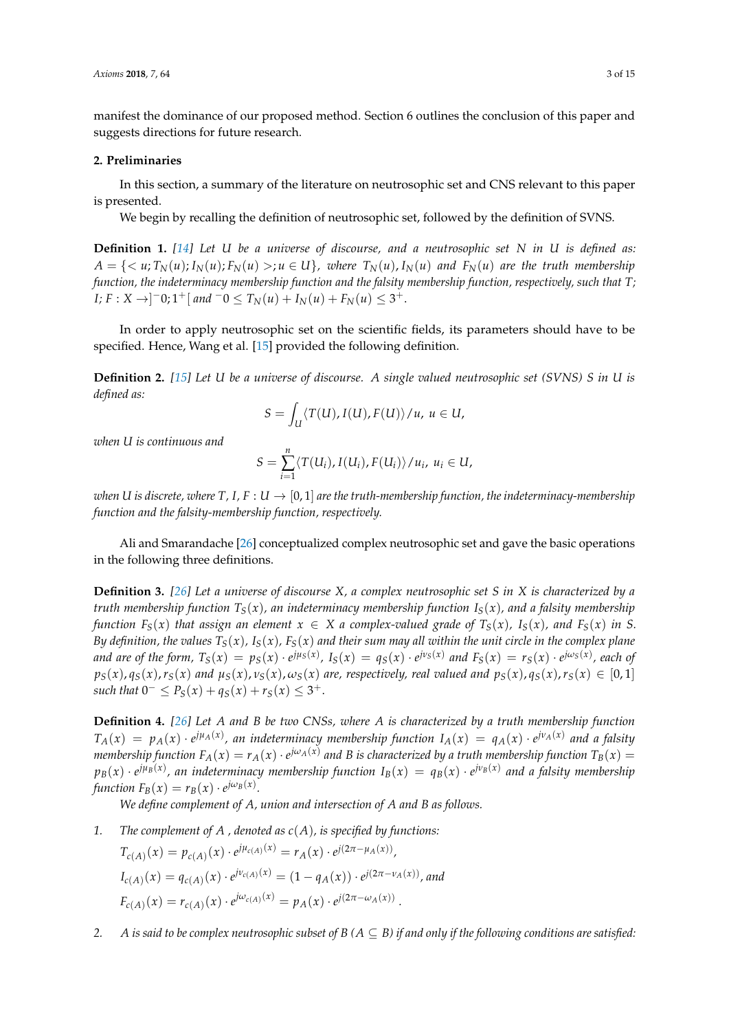manifest the dominance of our proposed method. Section 6 outlines the conclusion of this paper and suggests directions for future research.

#### <span id="page-2-0"></span>**2. Preliminaries**

In this section, a summary of the literature on neutrosophic set and CNS relevant to this paper is presented.

We begin by recalling the definition of neutrosophic set, followed by the definition of SVNS.

**Definition 1.** *[\[14\]](#page-13-7) Let U be a universe of discourse, and a neutrosophic set N in U is defined as:*  $A = \{ \langle u, T_N(u), I_N(u), F_N(u) \rangle : u \in U \}$ , where  $T_N(u)$ ,  $I_N(u)$  and  $F_N(u)$  are the truth membership *function, the indeterminacy membership function and the falsity membership function, respectively, such that T;*  $I; F: X \rightarrow ]-0; 1^+[$  and  $-0 \le T_N(u) + I_N(u) + F_N(u) \le 3^+.$ 

In order to apply neutrosophic set on the scientific fields, its parameters should have to be specified. Hence, Wang et al. [\[15\]](#page-13-8) provided the following definition.

**Definition 2.** *[\[15\]](#page-13-8) Let U be a universe of discourse. A single valued neutrosophic set (SVNS) S in U is defined as:*

$$
S=\int_U\langle T(U),I(U),F(U)\rangle/u,\ u\in U,
$$

*when U is continuous and*

$$
S=\sum_{i=1}^n\langle T(U_i),I(U_i),F(U_i)\rangle/u_i,\ u_i\in U,
$$

*when U is discrete, where*  $T$ ,  $I$ ,  $F: U \rightarrow [0,1]$  *are the truth-membership function, the indeterminacy-membership function and the falsity-membership function, respectively.*

Ali and Smarandache [\[26\]](#page-14-2) conceptualized complex neutrosophic set and gave the basic operations in the following three definitions.

**Definition 3.** *[\[26\]](#page-14-2) Let a universe of discourse X, a complex neutrosophic set S in X is characterized by a truth membership function*  $T_S(x)$ *, an indeterminacy membership function*  $I_S(x)$ *, and a falsity membership* function  $F_S(x)$  that assign an element  $x \in X$  a complex-valued grade of  $T_S(x)$ ,  $I_S(x)$ , and  $F_S(x)$  in S. *By definition, the values*  $T_S(x)$ *,*  $I_S(x)$ *,*  $F_S(x)$  *and their sum may all within the unit circle in the complex plane* and are of the form,  $T_S(x) = p_S(x) \cdot e^{j\mu_S(x)}$ ,  $I_S(x) = q_S(x) \cdot e^{j\nu_S(x)}$  and  $F_S(x) = r_S(x) \cdot e^{j\omega_S(x)}$ , each of  $p_S(x)$ ,  $q_S(x)$ ,  $r_S(x)$  and  $\mu_S(x)$ ,  $\nu_S(x)$ ,  $\omega_S(x)$  are, respectively, real valued and  $p_S(x)$ ,  $q_S(x)$ ,  $r_S(x) \in [0,1]$  $\text{such that } 0^- \le P_S(x) + q_S(x) + r_S(x) \le 3^+.$ 

**Definition 4.** *[\[26\]](#page-14-2) Let A and B be two CNSs, where A is characterized by a truth membership function*  $T_A(x) = p_A(x) \cdot e^{j\mu_A(x)}$ , an indeterminacy membership function  $I_A(x) = q_A(x) \cdot e^{j\nu_A(x)}$  and a falsity membership function  $F_A(x)=r_A(x)\cdot e^{j\omega_A(x)}$  and B is characterized by a truth membership function  $T_B(x)=$  $p_B(x)\cdot e^{j\mu_B(x)}$ , an indeterminacy membership function  $I_B(x)\,=\,q_B(x)\cdot e^{j\nu_B(x)}$  and a falsity membership *function*  $F_B(x) = r_B(x) \cdot e^{j\omega_B(x)}$ .

*We define complement of A, union and intersection of A and B as follows.*

*1. The complement of A , denoted as c*(*A*)*, is specified by functions:*

$$
T_{c(A)}(x) = p_{c(A)}(x) \cdot e^{j\mu_{c(A)}(x)} = r_A(x) \cdot e^{j(2\pi - \mu_A(x))},
$$
  
\n
$$
I_{c(A)}(x) = q_{c(A)}(x) \cdot e^{j\nu_{c(A)}(x)} = (1 - q_A(x)) \cdot e^{j(2\pi - \nu_A(x))},
$$
 and  
\n
$$
F_{c(A)}(x) = r_{c(A)}(x) \cdot e^{j\omega_{c(A)}(x)} = p_A(x) \cdot e^{j(2\pi - \omega_A(x))}.
$$

2. *A is said to be complex neutrosophic subset of*  $B(A \subseteq B)$  *if and only if the following conditions are satisfied:*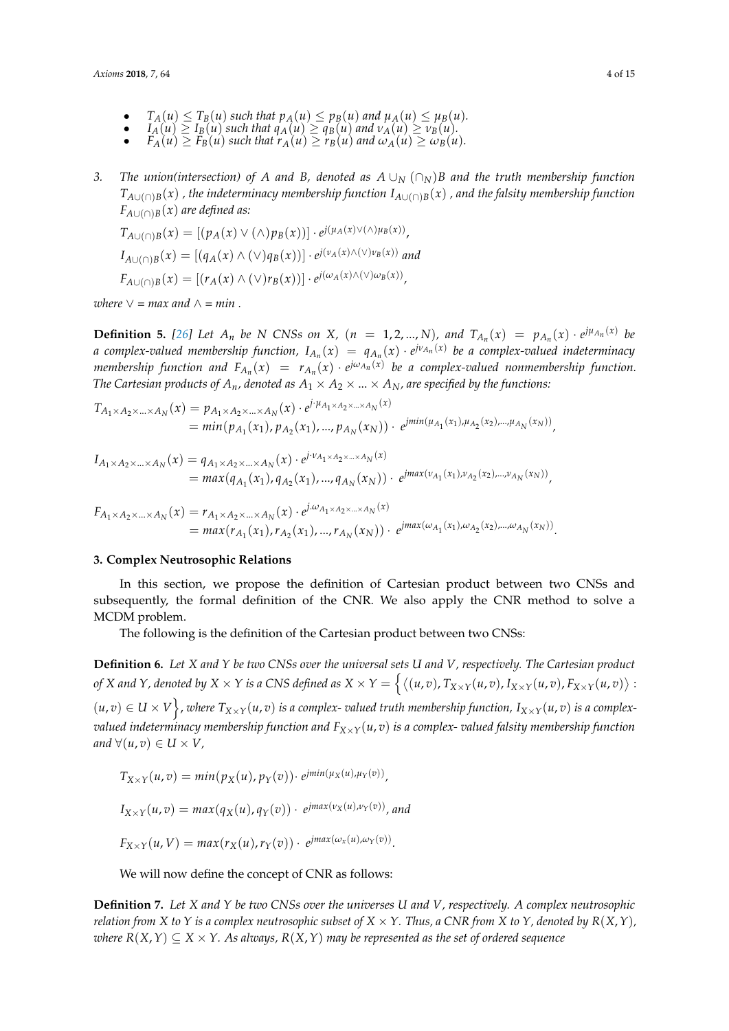- $T_A(u) \leq T_B(u)$  such that  $p_A(u) \leq p_B(u)$  and  $\mu_A(u) \leq \mu_B(u)$ .
- *I<sub>A</sub>*(*u*)  $\geq I_B(u)$  *such that*  $q_A(u) \geq q_B(u)$  *and*  $v_A(u) \geq v_B(u)$ *.*
- $F_A(u) \geq F_B(u)$  such that  $r_A(u) \geq r_B(u)$  and  $\omega_A(u) \geq \omega_B(u)$ .
- *3. The union(intersection) of A and B, denoted as A* ∪*<sup>N</sup>* (∩*N*)*B and the truth membership function TA*∪(∩)*<sup>B</sup>* (*x*) *, the indeterminacy membership function IA*∪(∩)*<sup>B</sup>* (*x*) *, and the falsity membership function FA*∪(∩)*<sup>B</sup>* (*x*) *are defined as:*

$$
T_{A\cup(\cap)B}(x) = [(p_A(x) \vee (\wedge) p_B(x))] \cdot e^{j(\mu_A(x) \vee (\wedge) \mu_B(x))},
$$
  
\n
$$
I_{A\cup(\cap)B}(x) = [(q_A(x) \wedge (\vee) q_B(x))] \cdot e^{j(\nu_A(x) \wedge (\vee) \nu_B(x))} \text{ and }
$$
  
\n
$$
F_{A\cup(\cap)B}(x) = [(r_A(x) \wedge (\vee) r_B(x))] \cdot e^{j(\omega_A(x) \wedge (\vee) \omega_B(x))},
$$

*where*  $\vee$  *= max and*  $\wedge$  *= min*.

**Definition 5.** [\[26\]](#page-14-2) Let  $A_n$  be N CNSs on X,  $(n = 1, 2, ..., N)$ , and  $T_{A_n}(x) = p_{A_n}(x) \cdot e^{j\mu_{A_n}(x)}$  be *a* complex-valued membership function,  $I_{A_n}(x) = q_{A_n}(x) \cdot e^{j v_{A_n}(x)}$  be a complex-valued indeterminacy *membership function and*  $F_{A_n}(x) = r_{A_n}(x) \cdot e^{j\omega_{A_n}(x)}$  *be a complex-valued nonmembership function. The Cartesian products of*  $A_n$ *, denoted as*  $A_1 \times A_2 \times ... \times A_N$ *, are specified by the functions:* 

$$
T_{A_1 \times A_2 \times ... \times A_N}(x) = p_{A_1 \times A_2 \times ... \times A_N}(x) \cdot e^{j \cdot \mu_{A_1 \times A_2 \times ... \times A_N}(x)}
$$
  
=  $min(p_{A_1}(x_1), p_{A_2}(x_1), ..., p_{A_N}(x_N)) \cdot e^{j \min(\mu_{A_1}(x_1), \mu_{A_2}(x_2), ..., \mu_{A_N}(x_N))},$ 

$$
I_{A_1 \times A_2 \times \dots \times A_N}(x) = q_{A_1 \times A_2 \times \dots \times A_N}(x) \cdot e^{j \cdot v_{A_1 \times A_2 \times \dots \times A_N}(x)}
$$
  
=  $max(q_{A_1}(x_1), q_{A_2}(x_1), ..., q_{A_N}(x_N)) \cdot e^{j max(v_{A_1}(x_1), v_{A_2}(x_2), ..., v_{A_N}(x_N))},$ 

$$
F_{A_1 \times A_2 \times ... \times A_N}(x) = r_{A_1 \times A_2 \times ... \times A_N}(x) \cdot e^{j \omega_{A_1 \times A_2 \times ... \times A_N}(x)}
$$
  
= 
$$
max(r_{A_1}(x_1), r_{A_2}(x_1), ..., r_{A_N}(x_N)) \cdot e^{j max(\omega_{A_1}(x_1), \omega_{A_2}(x_2), ..., \omega_{A_N}(x_N))}.
$$

## <span id="page-3-0"></span>**3. Complex Neutrosophic Relations**

In this section, we propose the definition of Cartesian product between two CNSs and subsequently, the formal definition of the CNR. We also apply the CNR method to solve a MCDM problem.

The following is the definition of the Cartesian product between two CNSs:

**Definition 6.** *Let X and Y be two CNSs over the universal sets U and V, respectively. The Cartesian product* of X and Y, denoted by  $X\times Y$  is a CNS defined as  $X\times Y=\Big\{\big\langle (u,v),T_{X\times Y}(u,v),I_{X\times Y}(u,v),F_{X\times Y}(u,v)\big\rangle:$  $(u,v)\in U\times V$  , where  $T_{X\times Y}(u,v)$  is a complex- valued truth membership function,  $I_{X\times Y}(u,v)$  is a complex*valued indeterminacy membership function and FX*×*Y*(*u*, *v*) *is a complex- valued falsity membership function and*  $\forall$   $(u, v) \in U \times V$ ,

$$
T_{X\times Y}(u,v)=min(p_X(u),p_Y(v))\cdot e^{jmin(\mu_X(u),\mu_Y(v))},
$$

 $I_{X \times Y}(u, v) = max(q_X(u), q_Y(v)) \cdot e^{jmax(v_X(u), v_Y(v))}$ , and

$$
F_{X\times Y}(u,V)=max(r_X(u),r_Y(v))\cdot e^{jmax(\omega_x(u),\omega_Y(v))}.
$$

We will now define the concept of CNR as follows:

**Definition 7.** *Let X and Y be two CNSs over the universes U and V, respectively. A complex neutrosophic relation from X to Y is a complex neutrosophic subset of*  $X \times Y$ *. Thus, a CNR from X to Y, denoted by*  $R(X, Y)$ *, where*  $R(X, Y) \subseteq X \times Y$ . As always,  $R(X, Y)$  may be represented as the set of ordered sequence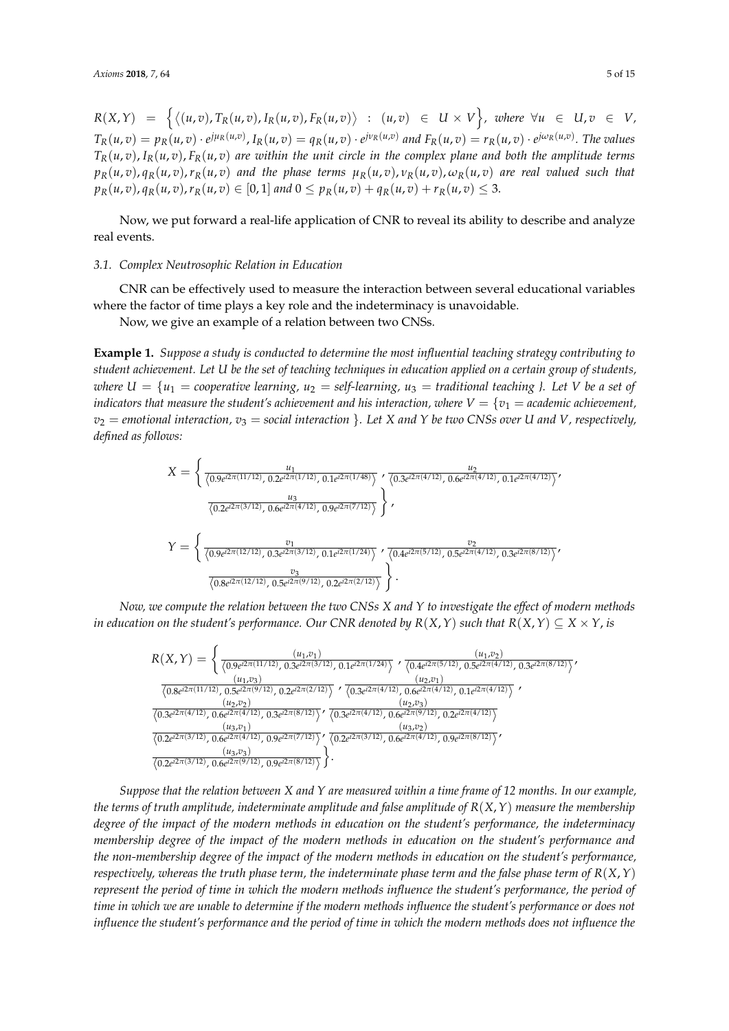$R(X,Y) = \{ \langle (u,v), T_R(u,v), I_R(u,v), F_R(u,v) \rangle : (u,v) \in U \times V \},$  where  $\forall u \in U, v \in V$ ,  $T_R(u,v) = p_R(u,v) \cdot e^{j\mu_R(u,v)}$ ,  $I_R(u,v) = q_R(u,v) \cdot e^{j\nu_R(u,v)}$  and  $F_R(u,v) = r_R(u,v) \cdot e^{j\omega_R(u,v)}$ . The values  $T_R(u,v)$ ,  $I_R(u,v)$ ,  $F_R(u,v)$  *are within the unit circle in the complex plane and both the amplitude terms*  $p_R(u,v)$ ,  $q_R(u,v)$ ,  $r_R(u,v)$  and the phase terms  $\mu_R(u,v)$ ,  $\nu_R(u,v)$ ,  $\omega_R(u,v)$  are real valued such that  $p_R(u,v), q_R(u,v), r_R(u,v) \in [0,1]$  and  $0 \leq p_R(u,v) + q_R(u,v) + r_R(u,v) \leq 3$ .

Now, we put forward a real-life application of CNR to reveal its ability to describe and analyze real events.

## *3.1. Complex Neutrosophic Relation in Education*

CNR can be effectively used to measure the interaction between several educational variables where the factor of time plays a key role and the indeterminacy is unavoidable.

Now, we give an example of a relation between two CNSs.

**Example 1.** *Suppose a study is conducted to determine the most influential teaching strategy contributing to student achievement. Let U be the set of teaching techniques in education applied on a certain group of students, where*  $U = \{u_1 =$  *cooperative learning,*  $u_2 =$  *self-learning,*  $u_3 =$  *traditional teaching }. Let V be a set of indicators that measure the student's achievement and his interaction, where*  $V = \{v_1 = academic$  *academic achievement,*  $v_2$  = *emotional interaction,*  $v_3$  = *social interaction* }*. Let X and Y be two CNSs over U and V, respectively, defined as follows:*

$$
X = \left\{ \frac{u_1}{\langle 0.9e^{i2\pi(11/12)}, 0.2e^{i2\pi(1/12)}, 0.1e^{i2\pi(1/48)} \rangle}, \frac{u_2}{\langle 0.3e^{i2\pi(4/12)}, 0.6e^{i2\pi(4/12)}, 0.1e^{i2\pi(4/12)} \rangle}, \frac{u_3}{\langle 0.2e^{i2\pi(3/12)}, 0.6e^{i2\pi(4/12)}, 0.9e^{i2\pi(7/12)} \rangle} \right\},
$$
  

$$
Y = \left\{ \frac{v_1}{\langle 0.9e^{i2\pi(12/12)}, 0.3e^{i2\pi(3/12)}, 0.1e^{i2\pi(1/24)} \rangle}, \frac{v_2}{\langle 0.4e^{i2\pi(5/12)}, 0.5e^{i2\pi(4/12)}, 0.3e^{i2\pi(8/12)} \rangle}, \frac{v_3}{\langle 0.8e^{i2\pi(12/12)}, 0.5e^{i2\pi(9/12)}, 0.2e^{i2\pi(2/12)} \rangle} \right\}.
$$

*Now, we compute the relation between the two CNSs X and Y to investigate the effect of modern methods in education on the student's performance. Our CNR denoted by*  $R(X,Y)$  *such that*  $R(X,Y) \subseteq X \times Y$ , *is* 

$$
R(X,Y) = \begin{cases} (u_1,v_1) & (u_1,v_2) \\ \frac{(u_1,v_3)}{\sqrt{0.9e^{i2\pi(11/12)} \sqrt{0.3e^{i2\pi(3/12)} \sqrt{0.1e^{i2\pi(1/24)}}}} \sqrt{\sqrt{0.4e^{i2\pi(5/12)} \sqrt{0.5e^{i2\pi(4/12)} \sqrt{0.3e^{i2\pi(8/12)}}}} \sqrt{0.8e^{i2\pi(11/12)} \sqrt{0.5e^{i2\pi(9/12)} \sqrt{0.8e^{i2\pi(9/12)} \sqrt{0.7e^{i2\pi(9/12)} \sqrt{0.7e^{i2\pi(9/12)} \sqrt{0.7e^{i2\pi(9/12)} \sqrt{0.7e^{i2\pi(9/12)} \sqrt{0.7e^{i2\pi(9/12)} \sqrt{0.7e^{i2\pi(9/12)} \sqrt{0.7e^{i2\pi(9/12)} \sqrt{0.7e^{i2\pi(9/12)} \sqrt{0.7e^{i2\pi(9/12)} \sqrt{0.7e^{i2\pi(9/12)} \sqrt{0.7e^{i2\pi(9/12)} \sqrt{0.7e^{i2\pi(9/12)} \sqrt{0.7e^{i2\pi(9/12)} \sqrt{0.7e^{i2\pi(9/12)} \sqrt{0.7e^{i2\pi(9/12)} \sqrt{0.7e^{i2\pi(9/12)} \sqrt{0.7e^{i2\pi(9/12)} \sqrt{0.7e^{i2\pi(9/12)} \sqrt{0.7e^{i2\pi(9/12)} \sqrt{0.7e^{i2\pi(9/12)} \sqrt{0.7e^{i2\pi(9/12)} \sqrt{0.7e^{i2\pi(9/12)} \sqrt{0.7e^{i2\pi(9/12)} \sqrt{0.7e^{i2\pi(9/12)} \sqrt{0.7e^{i2\pi(9/12)} \sqrt{0.7e^{i2\pi(9/12)} \sqrt{0.7e^{i2\pi(9/12)} \sqrt{0.7e^{i2\pi(9/12)} \sqrt{0.7e^{i2\pi(9/12)} \sqrt{0.7e^{i2\pi(9/12)} \sqrt{0.7e^{i2\pi(
$$

*Suppose that the relation between X and Y are measured within a time frame of 12 months. In our example, the terms of truth amplitude, indeterminate amplitude and false amplitude of R*(*X*,*Y*) *measure the membership degree of the impact of the modern methods in education on the student's performance, the indeterminacy membership degree of the impact of the modern methods in education on the student's performance and the non-membership degree of the impact of the modern methods in education on the student's performance, respectively, whereas the truth phase term, the indeterminate phase term and the false phase term of*  $R(X, Y)$ *represent the period of time in which the modern methods influence the student's performance, the period of time in which we are unable to determine if the modern methods influence the student's performance or does not influence the student's performance and the period of time in which the modern methods does not influence the*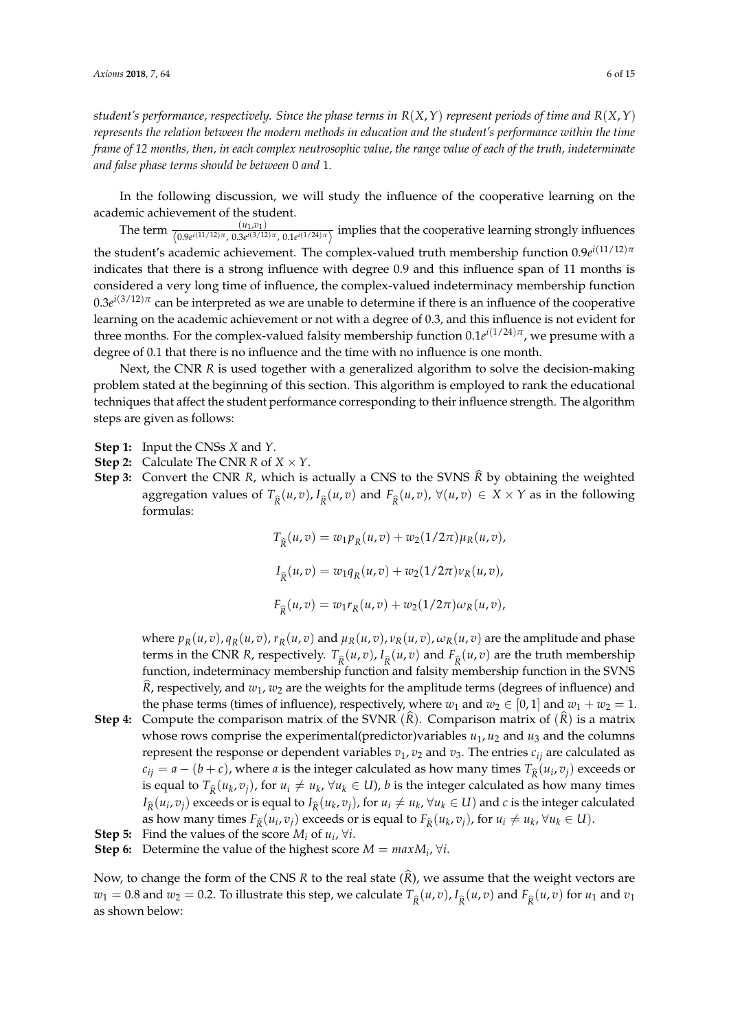*student's performance, respectively. Since the phase terms in*  $R(X, Y)$  *represent periods of time and*  $R(X, Y)$ *represents the relation between the modern methods in education and the student's performance within the time frame of 12 months, then, in each complex neutrosophic value, the range value of each of the truth, indeterminate and false phase terms should be between* 0 *and* 1*.*

In the following discussion, we will study the influence of the cooperative learning on the academic achievement of the student.

The term  $\frac{(u_1, v_1)}{(\cos(i11/12)\pi - \cos(i3/12))}$  $\sqrt{(0.9e^{i(11/12)\pi}, 0.3e^{i(3/12)\pi}, 0.1e^{i(1/24)\pi})}$  implies that the cooperative learning strongly influences the student's academic achievement. The complex-valued truth membership function 0.9*e i*(11/12)*π* indicates that there is a strong influence with degree 0.9 and this influence span of 11 months is considered a very long time of influence, the complex-valued indeterminacy membership function  $0.3e^{i(3/12)\pi}$  can be interpreted as we are unable to determine if there is an influence of the cooperative learning on the academic achievement or not with a degree of 0.3, and this influence is not evident for three months. For the complex-valued falsity membership function 0.1*e*<sup>*i*(1/24)π</sup>, we presume with a degree of 0.1 that there is no influence and the time with no influence is one month.

Next, the CNR *R* is used together with a generalized algorithm to solve the decision-making problem stated at the beginning of this section. This algorithm is employed to rank the educational techniques that affect the student performance corresponding to their influence strength. The algorithm steps are given as follows:

- **Step 1:** Input the CNSs *X* and *Y*.
- **Step 2:** Calculate The CNR *R* of  $X \times Y$ .
- **Step 3:** Convert the CNR *R*, which is actually a CNS to the SVNS  $\hat{R}$  by obtaining the weighted aggregation values of  $T_{\hat{R}}(u, v)$ ,  $I_{\hat{R}}(u, v)$  and  $F_{\hat{R}}(u, v)$ ,  $\forall (u, v) \in X \times Y$  as in the following formulas: formulas:

$$
T_{\hat{R}}(u, v) = w_1 p_R(u, v) + w_2(1/2\pi)\mu_R(u, v),
$$
  
\n
$$
I_{\hat{R}}(u, v) = w_1 q_R(u, v) + w_2(1/2\pi)\nu_R(u, v),
$$
  
\n
$$
F_{\hat{R}}(u, v) = w_1 r_R(u, v) + w_2(1/2\pi)\omega_R(u, v),
$$

where  $p_R(u,v)$ ,  $q_R(u,v)$ ,  $r_R(u,v)$  and  $\mu_R(u,v)$ ,  $\nu_R(u,v)$ ,  $\omega_R(u,v)$  are the amplitude and phase terms in the CNR *R*, respectively.  $T_{\hat{p}}(u,v)$ ,  $I_{\hat{p}}(u,v)$  and  $F_{\hat{p}}(u,v)$  are the truth membership function, indeterminacy membership function and falsity membership function in the SVNS  $\hat{R}$ , respectively, and  $w_1$ ,  $w_2$  are the weights for the amplitude terms (degrees of influence) and the phase terms (times of influence), respectively, where  $w_1$  and  $w_2 \in [0, 1]$  and  $w_1 + w_2 = 1$ .

- **Step 4:** Compute the comparison matrix of the SVNR  $(\widehat{R})$ . Comparison matrix of  $(\widehat{R})$  is a matrix whose rows comprise the experimental(predictor)variables  $u_1$ ,  $u_2$  and  $u_3$  and the columns represent the response or dependent variables  $v_1$ ,  $v_2$  and  $v_3$ . The entries  $c_{ij}$  are calculated as  $c_{ij} = a - (b + c)$ , where *a* is the integer calculated as how many times  $T_{\hat{R}}(u_i, v_j)$  exceeds or is equal to  $T_R(u_k, v_j)$ , for  $u_i \neq u_k$ ,  $\forall u_k \in U$ , *b* is the integer calculated as how many times  $I_{\hat{R}}(u_i, v_j)$  exceeds or is equal to  $I_{\hat{R}}(u_k, v_j)$ , for  $u_i \neq u_k, \forall u_k \in U$  and c is the integer calculated as how many times  $F_{\widehat{R}}(u_i, v_j)$  exceeds or is equal to  $F_{\widehat{R}}(u_k, v_j)$ , for  $u_i \neq u_k$ ,  $\forall u_k \in U$ ).<br>Find the values of the seems M of  $u_i \, \forall i$ .
- **Step 5:** Find the values of the score  $M_i$  of  $u_i$ ,  $\forall i$ .
- **Step 6:** Determine the value of the highest score  $M = maxM_i$ ,  $\forall i$ .

Now, to change the form of the CNS *R* to the real state  $(\hat{R})$ , we assume that the weight vectors are  $w_1 = 0.8$  and  $w_2 = 0.2$ . To illustrate this step, we calculate  $T_{\hat{R}}(u, v)$ ,  $I_{\hat{R}}(u, v)$  and  $F_{\hat{R}}(u, v)$  for  $u_1$  and  $v_1$ as shown below: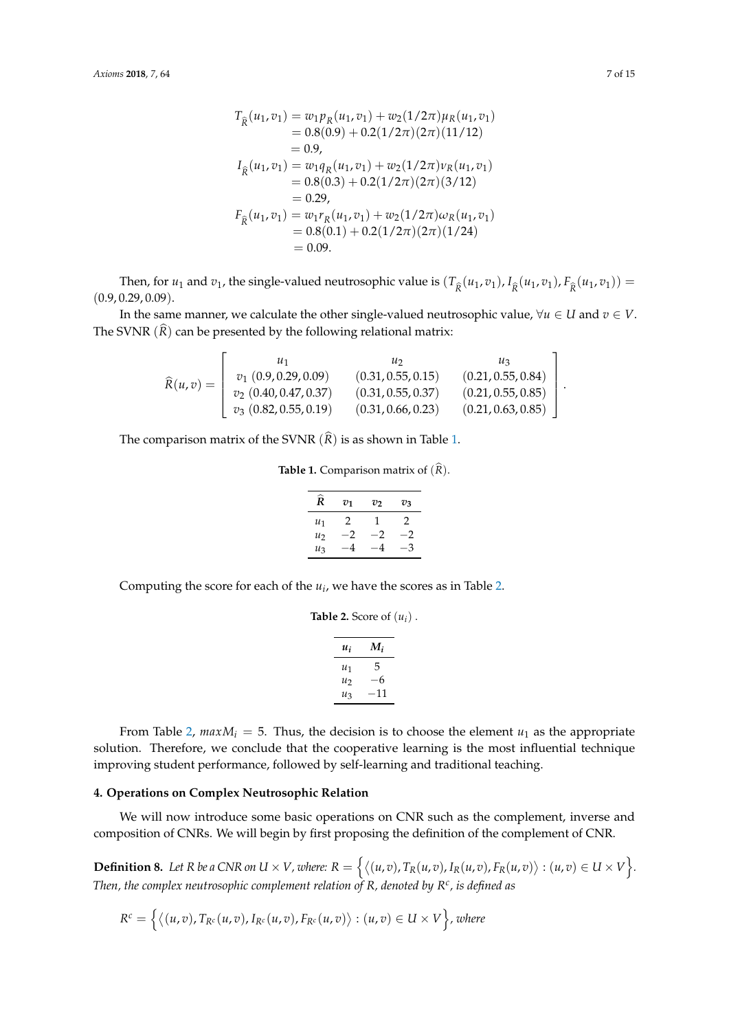$$
T_{\widehat{R}}(u_1, v_1) = w_1 p_R(u_1, v_1) + w_2(1/2\pi) \mu_R(u_1, v_1)
$$
  
= 0.8(0.9) + 0.2(1/2\pi)(2\pi)(11/12)  
= 0.9,  

$$
I_{\widehat{R}}(u_1, v_1) = w_1 q_R(u_1, v_1) + w_2(1/2\pi) \nu_R(u_1, v_1)
$$
  
= 0.8(0.3) + 0.2(1/2\pi)(2\pi)(3/12)  
= 0.29,  

$$
F_{\widehat{R}}(u_1, v_1) = w_1 r_R(u_1, v_1) + w_2(1/2\pi) \omega_R(u_1, v_1)
$$
  
= 0.8(0.1) + 0.2(1/2\pi)(2\pi)(1/24)  
= 0.09.

Then, for *u*<sub>1</sub> and *v*<sub>1</sub>, the single-valued neutrosophic value is  $(T_{\hat{R}}(u_1, v_1), I_{\hat{R}}(u_1, v_1), F_{\hat{R}}(u_1, v_1)) =$  $(0.9, 0.29, 0.09)$ .

In the same manner, we calculate the other single-valued neutrosophic value,  $\forall u \in U$  and  $v \in V$ . The SVNR  $(\widehat{R})$  can be presented by the following relational matrix:

|                      |                          | u۶                 | u٦                 |  |
|----------------------|--------------------------|--------------------|--------------------|--|
| $\widehat{R}(u,v) =$ | $v_1$ (0.9, 0.29, 0.09)  | (0.31, 0.55, 0.15) | (0.21, 0.55, 0.84) |  |
|                      | $v_2$ (0.40, 0.47, 0.37) | (0.31, 0.55, 0.37) | (0.21, 0.55, 0.85) |  |
|                      | $v_3$ (0.82, 0.55, 0.19) | (0.31, 0.66, 0.23) | (0.21, 0.63, 0.85) |  |

<span id="page-6-1"></span>The comparison matrix of the SVNR  $(\widehat{R})$  is as shown in Table [1.](#page-6-1)

**Table 1.** Comparison matrix of  $(\widehat{R})$ .

| Ŕ              | $v_1$ | $\scriptstyle v_2$ | $v_3$ |
|----------------|-------|--------------------|-------|
| $u_1$          | 2     | Τ                  | 2     |
| u <sub>2</sub> | -2    | -2                 | 2     |
| $u_3$          | 4     | 4                  | З     |

<span id="page-6-2"></span>Computing the score for each of the  $u_i$ , we have the scores as in Table [2.](#page-6-2)

**Table 2.** Score of  $(u_i)$ .

| u;    | $M_i$ |
|-------|-------|
| u1    | 5     |
| u2    | 6     |
| $u_3$ | -11   |

From Table [2,](#page-6-2)  $maxM_i = 5$ . Thus, the decision is to choose the element  $u_1$  as the appropriate solution. Therefore, we conclude that the cooperative learning is the most influential technique improving student performance, followed by self-learning and traditional teaching.

#### <span id="page-6-0"></span>**4. Operations on Complex Neutrosophic Relation**

We will now introduce some basic operations on CNR such as the complement, inverse and composition of CNRs. We will begin by first proposing the definition of the complement of CNR.

**Definition 8.** Let R be a CNR on  $U \times V$ , where:  $R = \left\{ \left\langle (u, v), T_R(u, v), I_R(u, v), F_R(u, v) \right\rangle : (u, v) \in U \times V \right\}$ . *Then, the complex neutrosophic complement relation of R, denoted by R<sup>c</sup> , is defined as*

$$
R^{c} = \left\{ \left\langle (u,v), T_{R^{c}}(u,v), I_{R^{c}}(u,v), F_{R^{c}}(u,v) \right\rangle : (u,v) \in U \times V \right\}, where
$$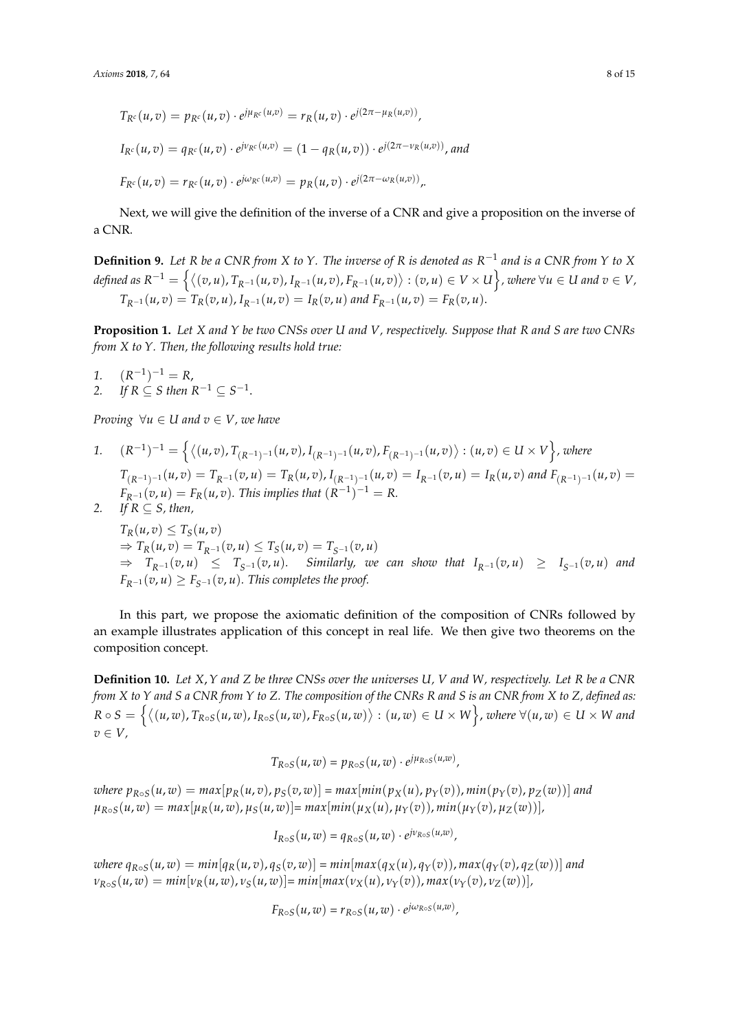$$
T_{R^c}(u, v) = p_{R^c}(u, v) \cdot e^{j\mu_{R^c}(u, v)} = r_R(u, v) \cdot e^{j(2\pi - \mu_R(u, v))},
$$
  
\n
$$
I_{R^c}(u, v) = q_{R^c}(u, v) \cdot e^{j\nu_{R^c}(u, v)} = (1 - q_R(u, v)) \cdot e^{j(2\pi - \nu_R(u, v))},
$$
 and  
\n
$$
F_{R^c}(u, v) = r_{R^c}(u, v) \cdot e^{j\omega_{R^c}(u, v)} = p_R(u, v) \cdot e^{j(2\pi - \omega_R(u, v))},
$$

Next, we will give the definition of the inverse of a CNR and give a proposition on the inverse of a CNR.

**Definition 9.** *Let R be a CNR from X to Y. The inverse of R is denoted as R* −1 *and is a CNR from Y to X* defined as  $R^{-1}=\left\{\big<(v,u)$  ,  $T_{R^{-1}}(u,v)$  ,  $I_{R^{-1}}(u,v)$  ,  $F_{R^{-1}}(u,v)\big>(v,u)\in V\times U\right\}$  , where  $\forall u\in U$  and  $v\in V$  ,  $T_{R^{-1}}(u,v) = T_R(v,u)$ ,  $I_{R^{-1}}(u,v) = I_R(v,u)$  and  $F_{R^{-1}}(u,v) = F_R(v,u)$ .

**Proposition 1.** *Let X and Y be two CNSs over U and V, respectively. Suppose that R and S are two CNRs from X to Y. Then, the following results hold true:*

*1*.  $(R^{-1})^{-1} = R$ , 2. *If*  $R \subseteq S$  then  $R^{-1} \subseteq S^{-1}$ .

*Proving*  $\forall u \in U$  *and*  $v \in V$ *, we have* 

1.  $(R^{-1})^{-1} = \left\{ \langle (u,v), T_{(R^{-1})^{-1}}(u,v), I_{(R^{-1})^{-1}}(u,v), F_{(R^{-1})^{-1}}(u,v) \rangle : (u,v) \in U \times V \right\}$ , where  $T_{(R^{-1})^{-1}}(u,v) = T_{R^{-1}}(v,u) = T_R(u,v)$ ,  $I_{(R^{-1})^{-1}}(u,v) = I_{R^{-1}}(v,u) = I_R(u,v)$  and  $F_{(R^{-1})^{-1}}(u,v) =$  $F_{R^{-1}}(v, u) = F_R(u, v)$ . This implies that  $(R^{-1})^{-1} = R$ . 2. *If*  $R \subseteq S$ *, then,* 

 $T_R(u,v) \leq T_S(u,v)$  $\Rightarrow T_R(u,v) = T_{R^{-1}}(v,u) \leq T_S(u,v) = T_{S^{-1}}(v,u)$  $\Rightarrow$   $T_{R^{-1}}(v, u)$  ≤  $T_{S^{-1}}(v, u)$ *. Similarly, we can show that*  $I_{R^{-1}}(v, u)$  ≥  $I_{S^{-1}}(v, u)$  and  $F_{R^{-1}}(v, u) \geq F_{S^{-1}}(v, u)$ . This completes the proof.

In this part, we propose the axiomatic definition of the composition of CNRs followed by an example illustrates application of this concept in real life. We then give two theorems on the composition concept.

**Definition 10.** *Let X*,*Y and Z be three CNSs over the universes U, V and W, respectively. Let R be a CNR* from X to Y and S a CNR from Y to Z. The composition of the CNRs R and S is an CNR from X to Z, defined as:  $R\circ S=\Big\{\big\langle (u,w),T_{R\circ S}(u,w),I_{R\circ S}(u,w),F_{R\circ S}(u,w)\big\rangle:(u,w)\in U\times W\Big\}$  , where  $\forall (u,w)\in U\times W$  and *v* ∈ *V,*

$$
T_{R\circ S}(u,w)=p_{R\circ S}(u,w)\cdot e^{j\mu_{R\circ S}(u,w)},
$$

where  $p_{R\circ S}(u,w) = max[p_R(u,v), p_S(v,w)] = max[min(p_X(u), p_Y(v)), min(p_Y(v), p_Z(w))]$  and  $\mu_{R\circ S}(u,w) = max[\mu_R(u,w), \mu_S(u,w)] = max[min(\mu_X(u), \mu_Y(v)), min(\mu_Y(v), \mu_Z(w))],$ 

$$
I_{R\circ S}(u,w)=q_{R\circ S}(u,w)\cdot e^{jv_{R\circ S}(u,w)},
$$

where  $q_{R\circ S}(u,w) = min[q_R(u,v), q_S(v,w)] = min[max(q_X(u), q_Y(v)), max(q_Y(v), q_Z(w))]$  and  $v_{R\circ S}(u,w) = min[v_R(u,w), v_S(u,w)] = min(max(v_X(u), v_Y(v)), max(v_Y(v), v_Z(w))],$ 

$$
F_{R\circ S}(u,w)=r_{R\circ S}(u,w)\cdot e^{j\omega_{R\circ S}(u,w)},
$$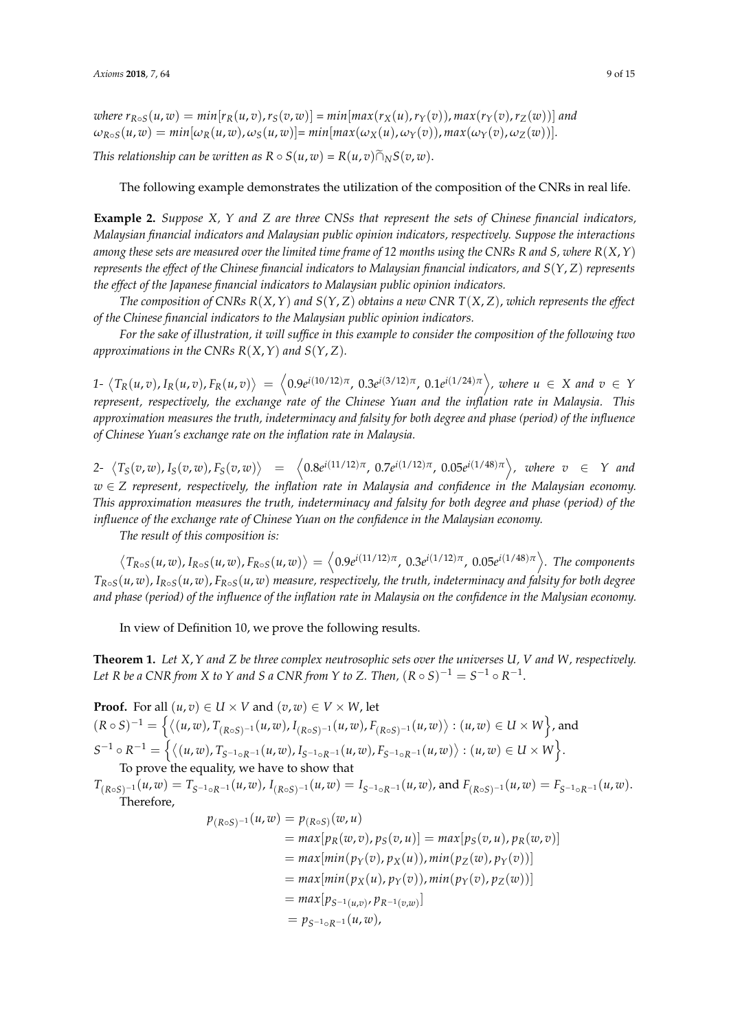*This relationship can be written as*  $R \circ S(u, w) = R(u, v) \widetilde{\cap}_N S(v, w)$ .

The following example demonstrates the utilization of the composition of the CNRs in real life.

**Example 2.** *Suppose X, Y and Z are three CNSs that represent the sets of Chinese financial indicators, Malaysian financial indicators and Malaysian public opinion indicators, respectively. Suppose the interactions among these sets are measured over the limited time frame of 12 months using the CNRs R and S, where R*(*X*,*Y*) *represents the effect of the Chinese financial indicators to Malaysian financial indicators, and S*(*Y*, *Z*) *represents the effect of the Japanese financial indicators to Malaysian public opinion indicators.*

*The composition of CNRs R*(*X*,*Y*) *and S*(*Y*, *Z*) *obtains a new CNR T*(*X*, *Z*), *which represents the effect of the Chinese financial indicators to the Malaysian public opinion indicators.*

*For the sake of illustration, it will suffice in this example to consider the composition of the following two approximations in the CNRs R*(*X*,*Y*) *and S*(*Y*, *Z*)*.*

 $1-\langle T_R(u,v),I_R(u,v),F_R(u,v)\rangle\ =\ \left\langle 0.9e^{i(10/12)\pi},\ 0.3e^{i(3/12)\pi},\ 0.1e^{i(1/24)\pi}\right\rangle$ , where  $u\ \in\ X$  and  $v\ \in\ Y$ *represent, respectively, the exchange rate of the Chinese Yuan and the inflation rate in Malaysia. This approximation measures the truth, indeterminacy and falsity for both degree and phase (period) of the influence of Chinese Yuan's exchange rate on the inflation rate in Malaysia.*

2-  $\langle T_S(v,w), I_S(v,w), F_S(v,w) \rangle = \langle 0.8e^{i(11/12)\pi}, 0.7e^{i(1/12)\pi}, 0.05e^{i(1/48)\pi} \rangle$ , where  $v \in Y$  and *w* ∈ *Z represent, respectively, the inflation rate in Malaysia and confidence in the Malaysian economy. This approximation measures the truth, indeterminacy and falsity for both degree and phase (period) of the influence of the exchange rate of Chinese Yuan on the confidence in the Malaysian economy.*

*The result of this composition is:*

 $\langle T_{R\circ S}(u,w), I_{R\circ S}(u,w), F_{R\circ S}(u,w)\rangle = \langle 0.9e^{i(11/12)\pi}, 0.3e^{i(1/12)\pi}, 0.05e^{i(1/48)\pi}\rangle$ . The components *TR*◦*S*(*u*, *w*), *IR*◦*S*(*u*, *w*), *FR*◦*S*(*u*, *w*) *measure, respectively, the truth, indeterminacy and falsity for both degree and phase (period) of the influence of the inflation rate in Malaysia on the confidence in the Malysian economy.*

In view of Definition 10, we prove the following results.

**Theorem 1.** *Let X*,*Y and Z be three complex neutrosophic sets over the universes U, V and W, respectively.* Let R be a CNR from X to Y and S a CNR from Y to Z. Then,  $(R\circ S)^{-1}=S^{-1}\circ R^{-1}.$ 

**Proof.** For all  $(u, v) \in U \times V$  and  $(v, w) \in V \times W$ , let  $(R\circ S)^{-1}=\left\{\big\langle (u,w),T_{(R\circ S)^{-1}}(u,w),I_{(R\circ S)^{-1}}(u,w),F_{(R\circ S)^{-1}}(u,w)\big\rangle:(u,w)\in U\times W\right\}$  , and  $S^{-1}\circ R^{-1}=\Big\{\big\langle (u,w),T_{S^{-1}\circ R^{-1}}(u,w),I_{S^{-1}\circ R^{-1}}(u,w),F_{S^{-1}\circ R^{-1}}(u,w)\big\rangle: (u,w)\in U\times W\Big\}.$ To prove the equality, we have to show that  $T_{(R\circ S)^{-1}}(u,w)=T_{S^{-1}\circ R^{-1}}(u,w)$  ,  $I_{(R\circ S)^{-1}}(u,w)=I_{S^{-1}\circ R^{-1}}(u,w)$  , and  $F_{(R\circ S)^{-1}}(u,w)=F_{S^{-1}\circ R^{-1}}(u,w).$ Therefore,  $p_{(R \circ S)^{-1}}(u,w) = p_{(R \circ S)}(w,u)$  $= max[p_R(w, v), p_S(v, u)] = max[p_S(v, u), p_R(w, v)]$ 

$$
= max[p_R(\omega, v), p_S(v, u)] = max[p_S(v, u), p_R(\omega, v)]
$$
  
= max[min(p<sub>Y</sub>(v), p<sub>X</sub>(u)), min(p<sub>Z</sub>(w), p<sub>Y</sub>(v))]  
= max[min(p<sub>X</sub>(u), p<sub>Y</sub>(v)), min(p<sub>Y</sub>(v), p<sub>Z</sub>(w))]  
= max[p<sub>S<sup>-1</sup>(u,v), p<sub>R<sup>-1</sup>(v,w)]  
= p<sub>S<sup>-1</sup>o<sub>R<sup>-1</sup></sub>(u,w),</sub></sub></sub>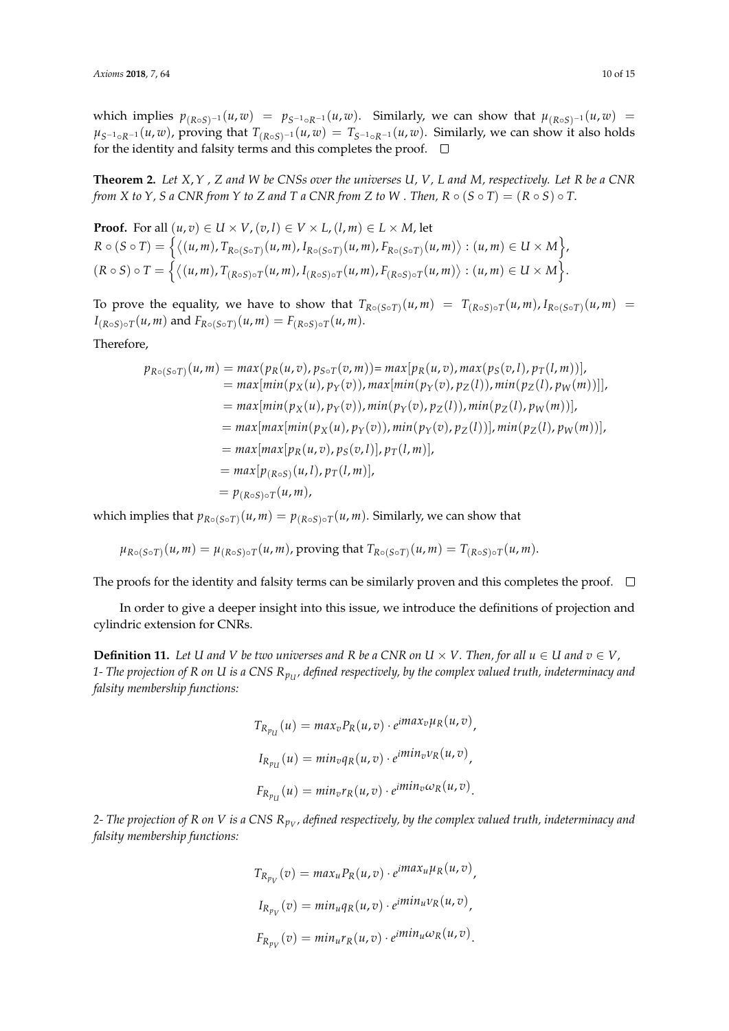which implies  $p_{(R \circ S)^{-1}}(u, w) = p_{S^{-1} \circ R^{-1}}(u, w)$ . Similarly, we can show that  $\mu_{(R \circ S)^{-1}}(u, w) =$  $\mu_{S^{-1} \circ R^{-1}}(u, w)$ , proving that  $T_{(R \circ S)^{-1}}(u, w) = T_{S^{-1} \circ R^{-1}}(u, w)$ . Similarly, we can show it also holds for the identity and falsity terms and this completes the proof.  $\Box$ 

**Theorem 2.** *Let X*,*Y , Z and W be CNSs over the universes U, V, L and M, respectively. Let R be a CNR from X to Y, S a CNR from Y to Z and T a CNR from Z to W . Then, R*  $\circ$  (*S*  $\circ$  *T*) = (*R*  $\circ$  *S*)  $\circ$  *T*.

**Proof.** For all 
$$
(u, v) \in U \times V
$$
,  $(v, l) \in V \times L$ ,  $(l, m) \in L \times M$ , let  
\n
$$
R \circ (S \circ T) = \left\{ \left\langle (u, m), T_{R \circ (S \circ T)}(u, m), I_{R \circ (S \circ T)}(u, m), F_{R \circ (S \circ T)}(u, m) \right\rangle : (u, m) \in U \times M \right\},
$$
\n
$$
(R \circ S) \circ T = \left\{ \left\langle (u, m), T_{(R \circ S) \circ T}(u, m), I_{(R \circ S) \circ T}(u, m), F_{(R \circ S) \circ T}(u, m) \right\rangle : (u, m) \in U \times M \right\}.
$$

To prove the equality, we have to show that  $T_{R\circ (S\circ T)}(u,m) = T_{(R\circ S)\circ T}(u,m) I_{R\circ (S\circ T)}(u,m) =$  $I_{(R \circ S) \circ T}(u, m)$  and  $F_{R \circ (S \circ T)}(u, m) = F_{(R \circ S) \circ T}(u, m)$ .

Therefore,

$$
p_{R \circ (S \circ T)}(u, m) = max(p_R(u, v), p_{S \circ T}(v, m)) = max[p_R(u, v), max(p_S(v, l), p_T(l, m))],
$$
  
\n
$$
= max[min(p_X(u), p_Y(v)), max[min(p_Y(v), p_Z(l)), min(p_Z(l), p_W(m))]],
$$
  
\n
$$
= max[min(p_X(u), p_Y(v)), min(p_Y(v), p_Z(l)), min(p_Z(l), p_W(m))],
$$
  
\n
$$
= max[max[min(p_X(u), p_Y(v)), min(p_Y(v), p_Z(l))], min(p_Z(l), p_W(m))],
$$
  
\n
$$
= max[max[p_R(u, v), p_S(v, l)], p_T(l, m)],
$$
  
\n
$$
= max[p_{(R \circ S)}(u, l), p_T(l, m)],
$$
  
\n
$$
= p_{(R \circ S) \circ T}(u, m),
$$

which implies that  $p_{R \circ (S \circ T)}(u, m) = p_{(R \circ S) \circ T}(u, m)$ . Similarly, we can show that

$$
\mu_{R \circ (S \circ T)}(u,m) = \mu_{(R \circ S) \circ T}(u,m), \text{ proving that } T_{R \circ (S \circ T)}(u,m) = T_{(R \circ S) \circ T}(u,m).
$$

The proofs for the identity and falsity terms can be similarly proven and this completes the proof.  $\Box$ 

In order to give a deeper insight into this issue, we introduce the definitions of projection and cylindric extension for CNRs.

**Definition 11.** Let U and V be two universes and R be a CNR on U  $\times$  V. Then, for all  $u \in U$  and  $v \in V$ , *1- The projection of R on U is a CNS Rp<sup>U</sup> , defined respectively, by the complex valued truth, indeterminacy and falsity membership functions:*

$$
T_{R_{p_U}}(u) = max_v P_R(u, v) \cdot e^{imax_v \mu_R(u, v)},
$$
  
\n
$$
I_{R_{p_U}}(u) = min_v q_R(u, v) \cdot e^{imin_v \nu_R(u, v)},
$$
  
\n
$$
F_{R_{p_U}}(u) = min_v r_R(u, v) \cdot e^{imin_v \nu_R(u, v)}.
$$

*2- The projection of R on V is a CNS Rp<sup>V</sup> , defined respectively, by the complex valued truth, indeterminacy and falsity membership functions:*

$$
T_{R_{p_V}}(v) = max_u P_R(u, v) \cdot e^{imax_u \mu_R(u, v)},
$$
  
\n
$$
I_{R_{p_V}}(v) = min_u q_R(u, v) \cdot e^{imin_u \nu_R(u, v)},
$$
  
\n
$$
F_{R_{p_V}}(v) = min_u r_R(u, v) \cdot e^{imin_u \omega_R(u, v)}.
$$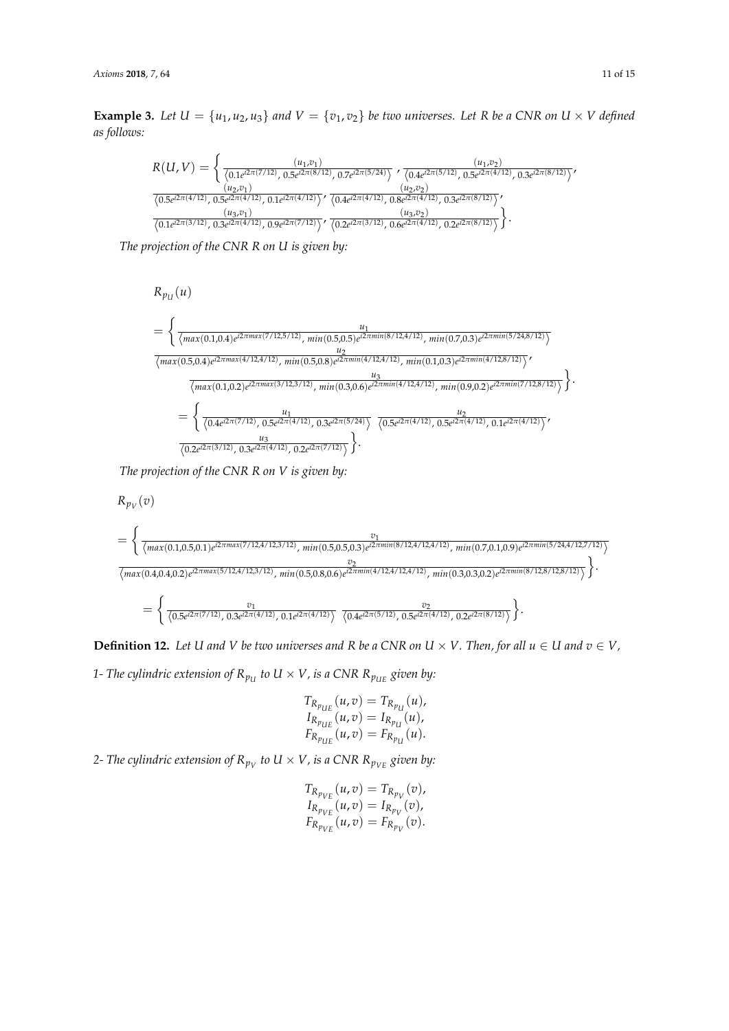**Example 3.** Let  $U = \{u_1, u_2, u_3\}$  and  $V = \{v_1, v_2\}$  be two universes. Let R be a CNR on  $U \times V$  defined *as follows:*

$$
R(U,V) = \left\{ \frac{(u_1,v_1)}{\langle 0.1e^{i2\pi(7/12)}, 0.5e^{i2\pi(8/12)}, 0.7e^{i2\pi(5/24)} \rangle}, \frac{(u_1,v_2)}{\langle 0.4e^{i2\pi(5/12)}, 0.5e^{i2\pi(4/12)}, 0.3e^{i2\pi(8/12)} \rangle}, \frac{(u_2,v_1)}{\langle 0.5e^{i2\pi(4/12)}, 0.5e^{i2\pi(4/12)}, 0.1e^{i2\pi(4/12)} \rangle}, \frac{(u_2,v_2)}{\langle 0.4e^{i2\pi(4/12)}, 0.8e^{i2\pi(4/12)}, 0.3e^{i2\pi(8/12)} \rangle}, \frac{(u_3,v_1)}{\langle 0.1e^{i2\pi(3/12)}, 0.9e^{i2\pi(7/12)} \rangle}, \frac{(u_3,v_2)}{\langle 0.2e^{i2\pi(3/12)}, 0.6e^{i2\pi(4/12)}, 0.2e^{i2\pi(8/12)} \rangle} \right\}.
$$

*The projection of the CNR R on U is given by:*

$$
R_{p_{U}}(u)
$$
\n
$$
= \left\{ \frac{u_{1}}{\langle max(0.1,0.4)e^{i2\pi max(7/12,5/12)}, min(0.5,0.5)e^{i2\pi min(8/12,4/12)}, min(0.7,0.3)e^{i2\pi min(5/24,8/12)} \rangle} \frac{u_{2}}{\langle max(0.5,0.4)e^{i2\pi max(4/12,4/12)}, min(0.5,0.8)e^{i2\pi min(4/12,4/12)}, min(0.1,0.3)e^{i2\pi min(4/12,8/12)} \rangle'} \frac{u_{3}}{\langle max(0.1,0.2)e^{i2\pi max(3/12,3/12)}, min(0.3,0.6)e^{i2\pi min(4/12,4/12)}, min(0.9,0.2)e^{i2\pi min(7/12,8/12)} \rangle} \right\} \cdot \frac{u_{3}}{\langle 0.4e^{i2\pi(7/12)}, 0.5e^{i2\pi(4/12)}, 0.3e^{i2\pi(5/24)} \rangle} \frac{u_{2}}{\langle 0.5e^{i2\pi(4/12)}, 0.5e^{i2\pi(4/12)}, 0.1e^{i2\pi(4/12)} \rangle'} \right\} \cdot \frac{u_{3}}{\langle 0.2e^{i2\pi(3/12)}, 0.3e^{i2\pi(4/12)}, 0.2e^{i2\pi(7/12)} \rangle} \right\}.
$$

*The projection of the CNR R on V is given by:*

 $R_{p_V}(v)$ 

$$
= \left\{ \frac{v_1}{\langle max(0.1, 0.5, 0.1)e^{i2\pi max(7/12, 4/12, 3/12)}, min(0.5, 0.5, 0.3)e^{i2\pi min(8/12, 4/12, 4/12)}, min(0.7, 0.1, 0.9)e^{i2\pi min(5/24, 4/12, 7/12)} \rangle} \right\}= \left\{ \frac{v_1}{\langle 0.5e^{i2\pi max(5/12, 4/12, 3/12)}, min(0.5, 0.8, 0.6)e^{i2\pi min(4/12, 4/12, 4/12)}, min(0.3, 0.3, 0.2)e^{i2\pi min(8/12, 8/12, 8/12)} \rangle} \right\}= \left\{ \frac{v_1}{\langle 0.5e^{i2\pi (7/12)}, 0.3e^{i2\pi (4/12)}, 0.1e^{i2\pi (4/12)} \rangle} \frac{v_2}{\langle 0.4e^{i2\pi (5/12)}, 0.5e^{i2\pi (4/12)}, 0.2e^{i2\pi (8/12)} \rangle} \right\}.
$$

**Definition 12.** Let U and V be two universes and R be a CNR on  $U \times V$ . Then, for all  $u \in U$  and  $v \in V$ ,

*1- The cylindric extension of*  $R_{p_{U}}$  *to*  $U\times V$  *, is a CNR*  $R_{p_{UE}}$  *given by:* 

$$
T_{R_{P_{UE}}}(u, v) = T_{R_{P_{U}}}(u),
$$
  
\n
$$
I_{R_{P_{UE}}}(u, v) = I_{R_{P_{U}}}(u),
$$
  
\n
$$
F_{R_{P_{UE}}}(u, v) = F_{R_{P_{U}}}(u).
$$

2- The cylindric extension of  $R_{p_V}$  to  $U\times V$ , is a CNR  $R_{p_{VE}}$  given by:

$$
T_{R_{PVE}}(u, v) = T_{R_{PV}}(v),
$$
  
\n
$$
I_{R_{PVE}}(u, v) = I_{R_{PV}}(v),
$$
  
\n
$$
F_{R_{PVE}}(u, v) = F_{R_{PV}}(v).
$$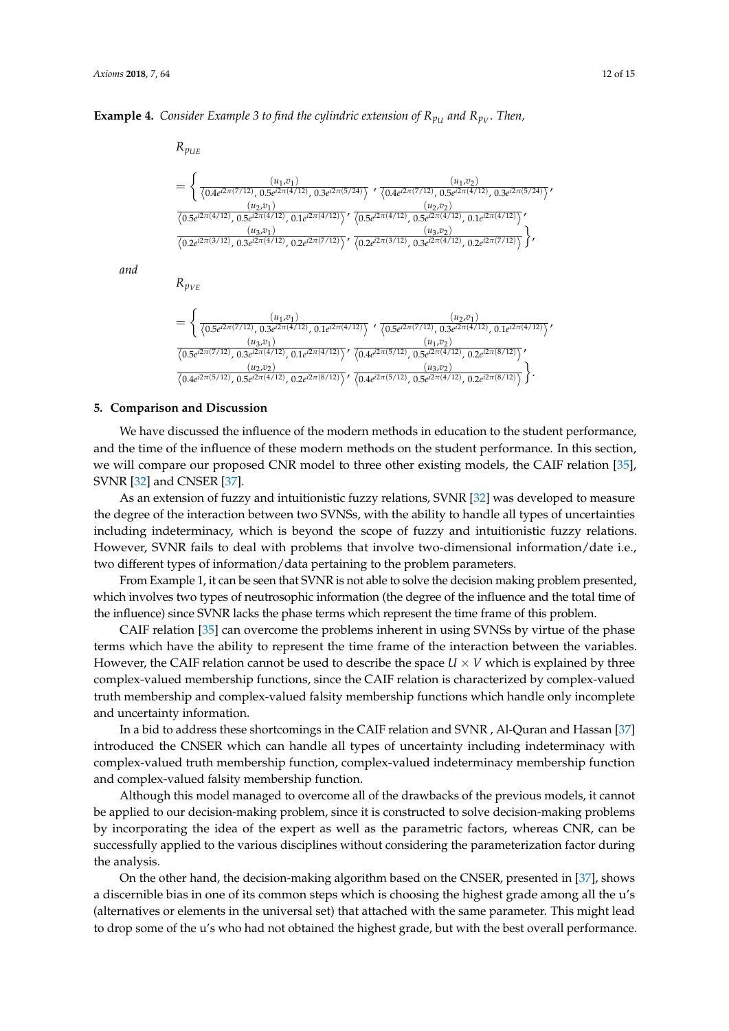

*and*

$$
= \left\{ \frac{\left(u_1, v_1\right)}{\left\langle 0.5e^{i2\pi\left(7/12\right)}, 0.3e^{i2\pi\left(4/12\right)}, 0.1e^{i2\pi\left(4/12\right)}\right\rangle} \right., \frac{\left(u_2, v_1\right)}{\left\langle 0.5e^{i2\pi\left(7/12\right)}, 0.3e^{i2\pi\left(4/12\right)}, 0.1e^{i2\pi\left(4/12\right)}\right\rangle} \right. \cdot \frac{\left(u_1, v_2\right)}{\left\langle 0.5e^{i2\pi\left(7/12\right)}, 0.3e^{i2\pi\left(4/12\right)}, 0.1e^{i2\pi\left(4/12\right)}\right\rangle} \right\}\right., \frac{\left(u_1, v_2\right)}{\left\langle 0.4e^{i2\pi\left(5/12\right)}, 0.5e^{i2\pi\left(4/12\right)}, 0.2e^{i2\pi\left(4/12\right)}\right\rangle} \right\}\left.\frac{\left(u_2, v_2\right)}{\left\langle 0.4e^{i2\pi\left(5/12\right)}, 0.5e^{i2\pi\left(4/12\right)}, 0.2e^{i2\pi\left(4/12\right)}\right\rangle} \right\}\left.\frac{\left(u_3, v_2\right)}{\left\langle 0.4e^{i2\pi\left(5/12\right)}, 0.5e^{i2\pi\left(4/12\right)}, 0.2e^{i2\pi\left(8/12\right)}\right\rangle} \right\}\right\}.
$$

#### <span id="page-11-0"></span>**5. Comparison and Discussion**

 $R_{p_{VE}}$ 

We have discussed the influence of the modern methods in education to the student performance, and the time of the influence of these modern methods on the student performance. In this section, we will compare our proposed CNR model to three other existing models, the CAIF relation [\[35\]](#page-14-8), SVNR [\[32\]](#page-14-5) and CNSER [\[37\]](#page-14-10).

As an extension of fuzzy and intuitionistic fuzzy relations, SVNR [\[32\]](#page-14-5) was developed to measure the degree of the interaction between two SVNSs, with the ability to handle all types of uncertainties including indeterminacy, which is beyond the scope of fuzzy and intuitionistic fuzzy relations. However, SVNR fails to deal with problems that involve two-dimensional information/date i.e., two different types of information/data pertaining to the problem parameters.

From Example 1, it can be seen that SVNR is not able to solve the decision making problem presented, which involves two types of neutrosophic information (the degree of the influence and the total time of the influence) since SVNR lacks the phase terms which represent the time frame of this problem.

CAIF relation [\[35\]](#page-14-8) can overcome the problems inherent in using SVNSs by virtue of the phase terms which have the ability to represent the time frame of the interaction between the variables. However, the CAIF relation cannot be used to describe the space  $U \times V$  which is explained by three complex-valued membership functions, since the CAIF relation is characterized by complex-valued truth membership and complex-valued falsity membership functions which handle only incomplete and uncertainty information.

In a bid to address these shortcomings in the CAIF relation and SVNR , Al-Quran and Hassan [\[37\]](#page-14-10) introduced the CNSER which can handle all types of uncertainty including indeterminacy with complex-valued truth membership function, complex-valued indeterminacy membership function and complex-valued falsity membership function.

Although this model managed to overcome all of the drawbacks of the previous models, it cannot be applied to our decision-making problem, since it is constructed to solve decision-making problems by incorporating the idea of the expert as well as the parametric factors, whereas CNR, can be successfully applied to the various disciplines without considering the parameterization factor during the analysis.

On the other hand, the decision-making algorithm based on the CNSER, presented in [\[37\]](#page-14-10), shows a discernible bias in one of its common steps which is choosing the highest grade among all the u's (alternatives or elements in the universal set) that attached with the same parameter. This might lead to drop some of the u's who had not obtained the highest grade, but with the best overall performance.

 $\bar{\rangle}$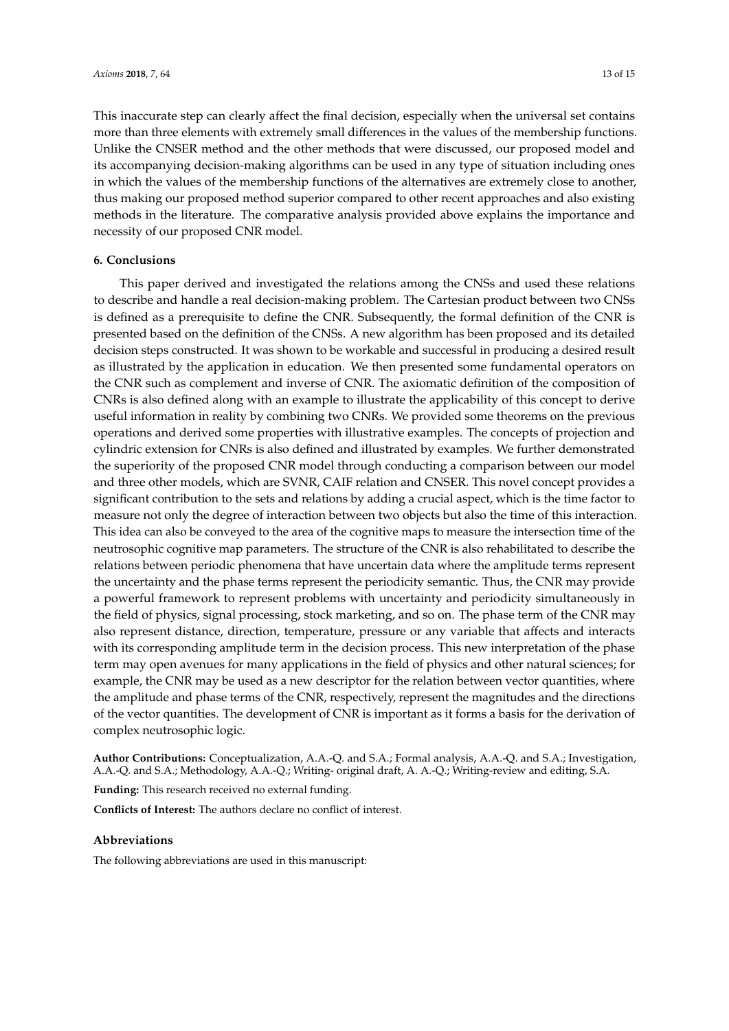This inaccurate step can clearly affect the final decision, especially when the universal set contains more than three elements with extremely small differences in the values of the membership functions. Unlike the CNSER method and the other methods that were discussed, our proposed model and its accompanying decision-making algorithms can be used in any type of situation including ones in which the values of the membership functions of the alternatives are extremely close to another, thus making our proposed method superior compared to other recent approaches and also existing methods in the literature. The comparative analysis provided above explains the importance and necessity of our proposed CNR model.

## **6. Conclusions**

This paper derived and investigated the relations among the CNSs and used these relations to describe and handle a real decision-making problem. The Cartesian product between two CNSs is defined as a prerequisite to define the CNR. Subsequently, the formal definition of the CNR is presented based on the definition of the CNSs. A new algorithm has been proposed and its detailed decision steps constructed. It was shown to be workable and successful in producing a desired result as illustrated by the application in education. We then presented some fundamental operators on the CNR such as complement and inverse of CNR. The axiomatic definition of the composition of CNRs is also defined along with an example to illustrate the applicability of this concept to derive useful information in reality by combining two CNRs. We provided some theorems on the previous operations and derived some properties with illustrative examples. The concepts of projection and cylindric extension for CNRs is also defined and illustrated by examples. We further demonstrated the superiority of the proposed CNR model through conducting a comparison between our model and three other models, which are SVNR, CAIF relation and CNSER. This novel concept provides a significant contribution to the sets and relations by adding a crucial aspect, which is the time factor to measure not only the degree of interaction between two objects but also the time of this interaction. This idea can also be conveyed to the area of the cognitive maps to measure the intersection time of the neutrosophic cognitive map parameters. The structure of the CNR is also rehabilitated to describe the relations between periodic phenomena that have uncertain data where the amplitude terms represent the uncertainty and the phase terms represent the periodicity semantic. Thus, the CNR may provide a powerful framework to represent problems with uncertainty and periodicity simultaneously in the field of physics, signal processing, stock marketing, and so on. The phase term of the CNR may also represent distance, direction, temperature, pressure or any variable that affects and interacts with its corresponding amplitude term in the decision process. This new interpretation of the phase term may open avenues for many applications in the field of physics and other natural sciences; for example, the CNR may be used as a new descriptor for the relation between vector quantities, where the amplitude and phase terms of the CNR, respectively, represent the magnitudes and the directions of the vector quantities. The development of CNR is important as it forms a basis for the derivation of complex neutrosophic logic.

**Author Contributions:** Conceptualization, A.A.-Q. and S.A.; Formal analysis, A.A.-Q. and S.A.; Investigation, A.A.-Q. and S.A.; Methodology, A.A.-Q.; Writing- original draft, A. A.-Q.; Writing-review and editing, S.A.

**Funding:** This research received no external funding.

**Conflicts of Interest:** The authors declare no conflict of interest.

#### **Abbreviations**

The following abbreviations are used in this manuscript: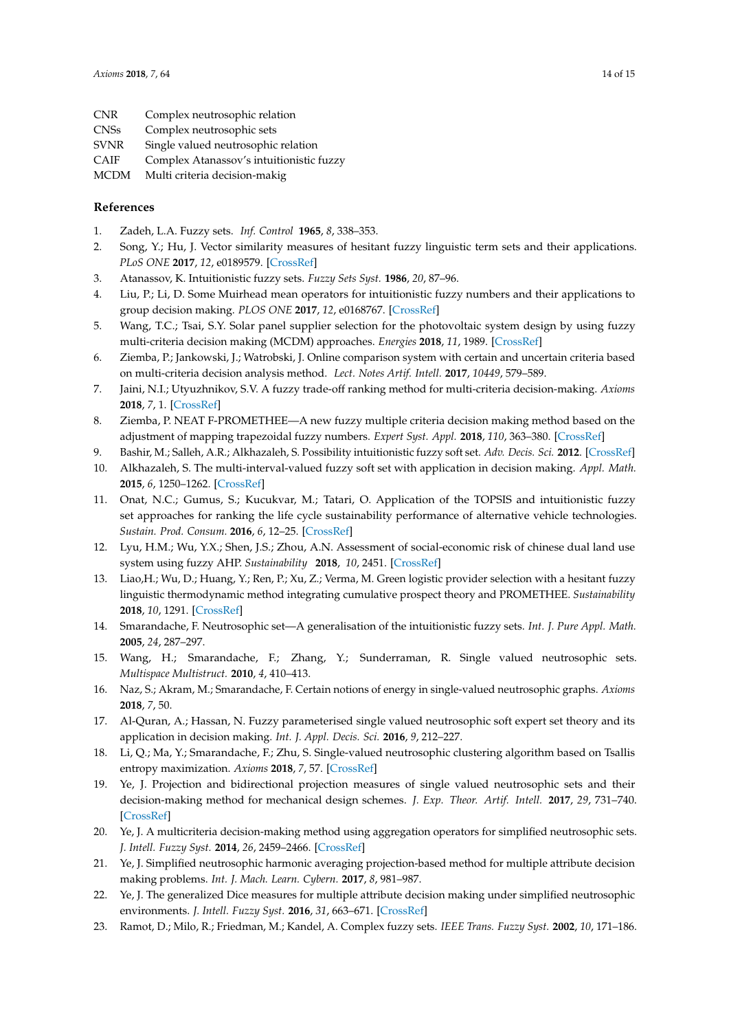- CNSs Complex neutrosophic sets
- SVNR Single valued neutrosophic relation
- CAIF Complex Atanassov's intuitionistic fuzzy
- MCDM Multi criteria decision-makig

# **References**

- <span id="page-13-0"></span>1. Zadeh, L.A. Fuzzy sets. *Inf. Control* **1965**, *8*, 338–353.
- 2. Song, Y.; Hu, J. Vector similarity measures of hesitant fuzzy linguistic term sets and their applications. *PLoS ONE* **2017**, *12*, e0189579. [\[CrossRef\]](http://dx.doi.org/10.1371/journal.pone.0189579)
- 3. Atanassov, K. Intuitionistic fuzzy sets. *Fuzzy Sets Syst.* **1986**, *20*, 87–96.
- <span id="page-13-1"></span>4. Liu, P.; Li, D. Some Muirhead mean operators for intuitionistic fuzzy numbers and their applications to group decision making. *PLOS ONE* **2017**, *12*, e0168767. [\[CrossRef\]](http://dx.doi.org/10.1371/journal.pone.0168767)
- <span id="page-13-2"></span>5. Wang, T.C.; Tsai, S.Y. Solar panel supplier selection for the photovoltaic system design by using fuzzy multi-criteria decision making (MCDM) approaches. *Energies* **2018**, *11*, 1989. [\[CrossRef\]](http://dx.doi.org/10.3390/en11081989)
- 6. Ziemba, P.; Jankowski, J.; Watrobski, J. Online comparison system with certain and uncertain criteria based on multi-criteria decision analysis method. *Lect. Notes Artif. Intell.* **2017**, *10449*, 579–589.
- 7. Jaini, N.I.; Utyuzhnikov, S.V. A fuzzy trade-off ranking method for multi-criteria decision-making. *Axioms* **2018**, *7*, 1. [\[CrossRef\]](http://dx.doi.org/10.3390/axioms7010001)
- 8. Ziemba, P. NEAT F-PROMETHEE—A new fuzzy multiple criteria decision making method based on the adjustment of mapping trapezoidal fuzzy numbers. *Expert Syst. Appl.* **2018**, *110*, 363–380. [\[CrossRef\]](http://dx.doi.org/10.1016/j.eswa.2018.06.008)
- 9. Bashir, M.; Salleh, A.R.; Alkhazaleh, S. Possibility intuitionistic fuzzy soft set. *Adv. Decis. Sci.* **2012**. [\[CrossRef\]](http://dx.doi.org/10.1155/2012/404325)
- <span id="page-13-3"></span>10. Alkhazaleh, S. The multi-interval-valued fuzzy soft set with application in decision making. *Appl. Math.* **2015**, *6*, 1250–1262. [\[CrossRef\]](http://dx.doi.org/10.4236/am.2015.68118)
- <span id="page-13-4"></span>11. Onat, N.C.; Gumus, S.; Kucukvar, M.; Tatari, O. Application of the TOPSIS and intuitionistic fuzzy set approaches for ranking the life cycle sustainability performance of alternative vehicle technologies. *Sustain. Prod. Consum.* **2016**, *6*, 12–25. [\[CrossRef\]](http://dx.doi.org/10.1016/j.spc.2015.12.003)
- <span id="page-13-5"></span>12. Lyu, H.M.; Wu, Y.X.; Shen, J.S.; Zhou, A.N. Assessment of social-economic risk of chinese dual land use system using fuzzy AHP. *Sustainability* **2018**, *10*, 2451. [\[CrossRef\]](http://dx.doi.org/10.3390/su10072451)
- <span id="page-13-6"></span>13. Liao,H.; Wu, D.; Huang, Y.; Ren, P.; Xu, Z.; Verma, M. Green logistic provider selection with a hesitant fuzzy linguistic thermodynamic method integrating cumulative prospect theory and PROMETHEE. *Sustainability* **2018**, *10*, 1291. [\[CrossRef\]](http://dx.doi.org/10.3390/su10041291)
- <span id="page-13-7"></span>14. Smarandache, F. Neutrosophic set—A generalisation of the intuitionistic fuzzy sets. *Int. J. Pure Appl. Math.* **2005**, *24*, 287–297.
- <span id="page-13-8"></span>15. Wang, H.; Smarandache, F.; Zhang, Y.; Sunderraman, R. Single valued neutrosophic sets. *Multispace Multistruct.* **2010**, *4*, 410–413.
- <span id="page-13-9"></span>16. Naz, S.; Akram, M.; Smarandache, F. Certain notions of energy in single-valued neutrosophic graphs. *Axioms* **2018**, *7*, 50.
- 17. Al-Quran, A.; Hassan, N. Fuzzy parameterised single valued neutrosophic soft expert set theory and its application in decision making. *Int. J. Appl. Decis. Sci.* **2016**, *9*, 212–227.
- 18. Li, Q.; Ma, Y.; Smarandache, F.; Zhu, S. Single-valued neutrosophic clustering algorithm based on Tsallis entropy maximization. *Axioms* **2018**, *7*, 57. [\[CrossRef\]](http://dx.doi.org/10.3390/axioms7030050)
- <span id="page-13-10"></span>19. Ye, J. Projection and bidirectional projection measures of single valued neutrosophic sets and their decision-making method for mechanical design schemes. *J. Exp. Theor. Artif. Intell.* **2017**, *29*, 731–740. [\[CrossRef\]](http://dx.doi.org/10.1080/0952813X.2016.1259263)
- <span id="page-13-11"></span>20. Ye, J. A multicriteria decision-making method using aggregation operators for simplified neutrosophic sets. *J. Intell. Fuzzy Syst.* **2014**, *26*, 2459–2466. [\[CrossRef\]](http://dx.doi.org/10.3233/IFS-130916)
- 21. Ye, J. Simplified neutrosophic harmonic averaging projection-based method for multiple attribute decision making problems. *Int. J. Mach. Learn. Cybern.* **2017**, *8*, 981–987.
- <span id="page-13-12"></span>22. Ye, J. The generalized Dice measures for multiple attribute decision making under simplified neutrosophic environments. *J. Intell. Fuzzy Syst.* **2016**, *31*, 663–671. [\[CrossRef\]](http://dx.doi.org/10.3233/IFS-162179)
- <span id="page-13-13"></span>23. Ramot, D.; Milo, R.; Friedman, M.; Kandel, A. Complex fuzzy sets. *IEEE Trans. Fuzzy Syst.* **2002**, *10*, 171–186.